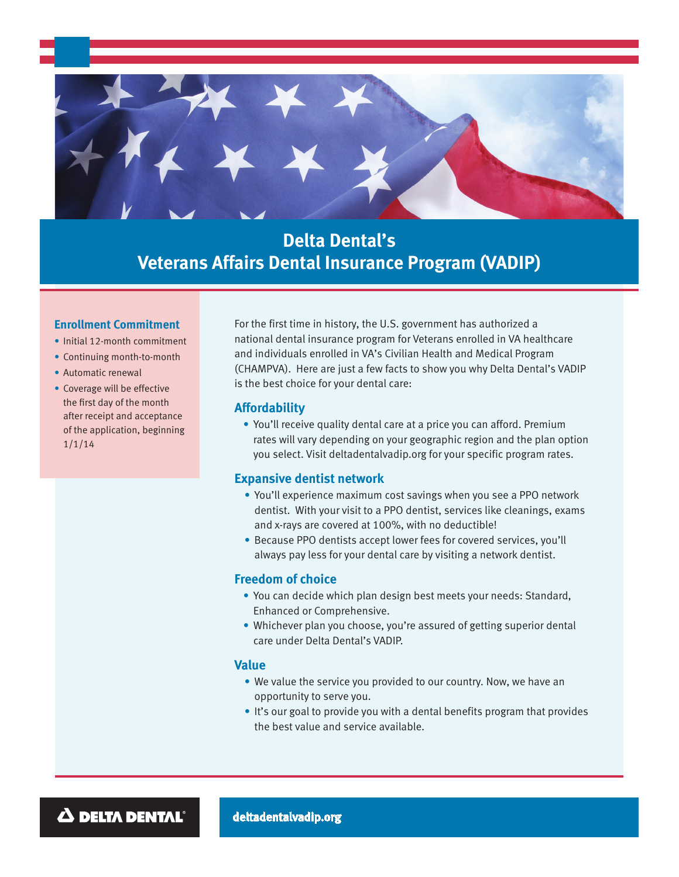

# **Delta Dental's Veterans Affairs Dental Insurance Program (VADIP)**

#### **Enrollment Commitment**

- Initial 12-month commitment
- Continuing month-to-month
- Automatic renewal
- Coverage will be effective the first day of the month after receipt and acceptance of the application, beginning 1/1/14

For the first time in history, the U.S. government has authorized a national dental insurance program for Veterans enrolled in VA healthcare and individuals enrolled in VA's Civilian Health and Medical Program (CHAMPVA). Here are just a few facts to show you why Delta Dental's VADIP is the best choice for your dental care:

# **Affordability**

• You'll receive quality dental care at a price you can afford. Premium rates will vary depending on your geographic region and the plan option you select. Visit deltadentalvadip.org for your specific program rates.

## **Expansive dentist network**

- You'll experience maximum cost savings when you see a PPO network dentist. With your visit to a PPO dentist, services like cleanings, exams and x-rays are covered at 100%, with no deductible!
- Because PPO dentists accept lower fees for covered services, you'll always pay less for your dental care by visiting a network dentist.

## **Freedom of choice**

- You can decide which plan design best meets your needs: Standard, Enhanced or Comprehensive.
- Whichever plan you choose, you're assured of getting superior dental care under Delta Dental's VADIP.

## **Value**

- We value the service you provided to our country. Now, we have an opportunity to serve you.
- It's our goal to provide you with a dental benefits program that provides the best value and service available.

 $\Delta$  delta dental®

**deltadentalvadip.org**